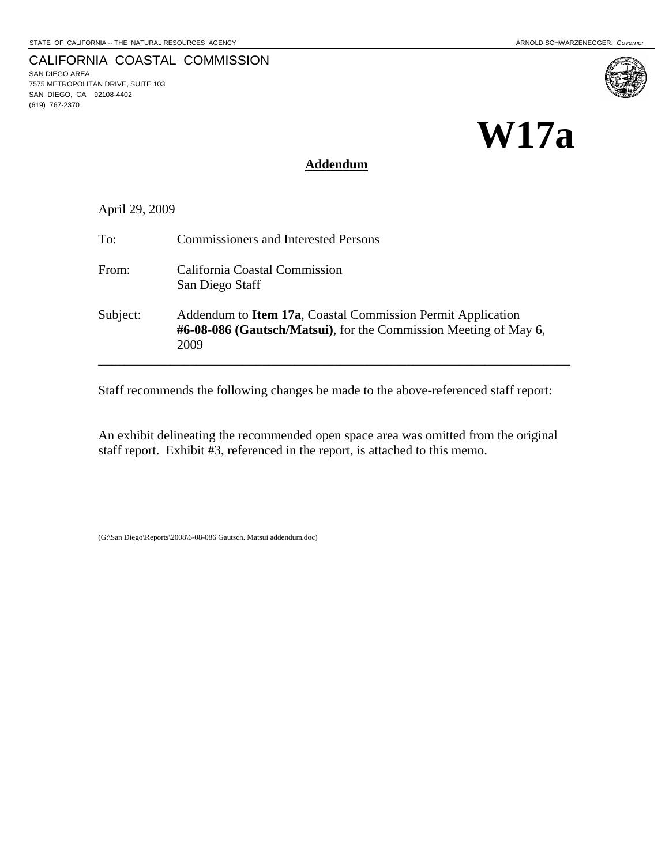SAN DIEGO AREA

(619) 767-2370

7575 METROPOLITAN DRIVE, SUITE 103 SAN DIEGO, CA 92108-4402

CALIFORNIA COASTAL COMMISSION

# **W17a**

## **Addendum**

April 29, 2009

| To:      | <b>Commissioners and Interested Persons</b>                                                                                                     |
|----------|-------------------------------------------------------------------------------------------------------------------------------------------------|
| From:    | California Coastal Commission<br>San Diego Staff                                                                                                |
| Subject: | Addendum to <b>Item 17a</b> , Coastal Commission Permit Application<br>#6-08-086 (Gautsch/Matsui), for the Commission Meeting of May 6,<br>2009 |

Staff recommends the following changes be made to the above-referenced staff report:

An exhibit delineating the recommended open space area was omitted from the original staff report. Exhibit #3, referenced in the report, is attached to this memo.

(G:\San Diego\Reports\2008\6-08-086 Gautsch. Matsui addendum.doc)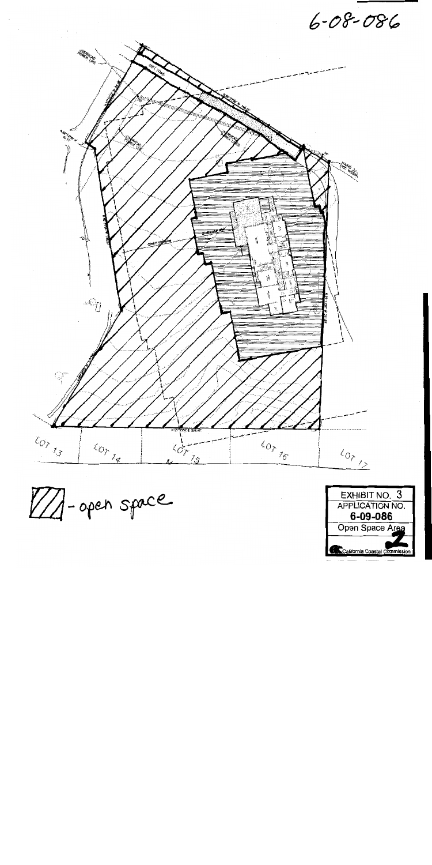$6 - 08 - 086$ 



VA-open space

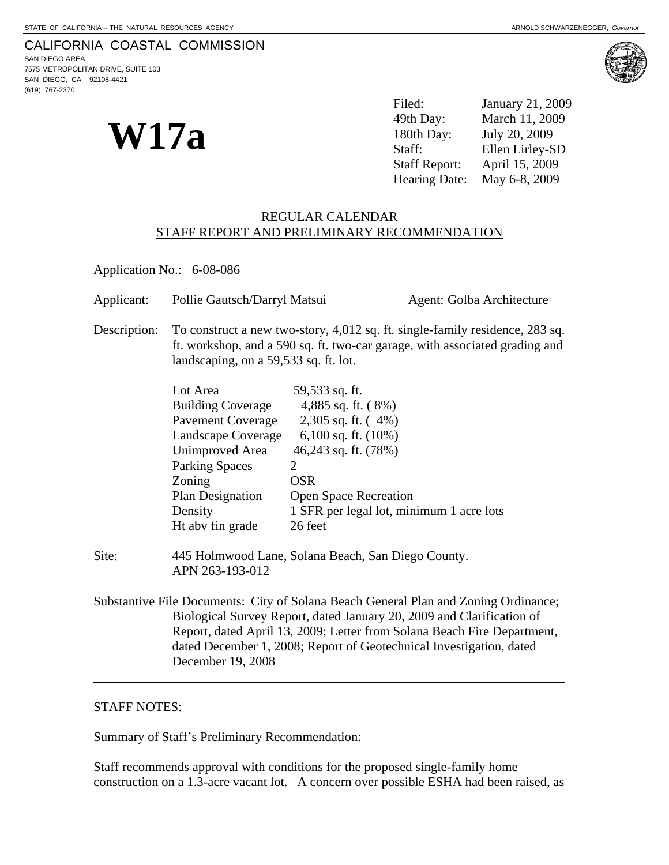# CALIFORNIA COASTAL COMMISSION

SAN DIEGO AREA 7575 METROPOLITAN DRIVE, SUITE 103 SAN DIEGO, CA 92108-4421 (619) 767-2370

**W17a** 

Filed: January 21, 2009 49th Day: March 11, 2009 180th Day: July 20, 2009 Staff: Ellen Lirley-SD Staff Report: April 15, 2009 Hearing Date: May 6-8, 2009

### REGULAR CALENDAR STAFF REPORT AND PRELIMINARY RECOMMENDATION

Application No.: 6-08-086

| Applicant:   | Pollie Gautsch/Darryl Matsui                                                                                                                                                                         |                                          | Agent: Golba Architecture |  |
|--------------|------------------------------------------------------------------------------------------------------------------------------------------------------------------------------------------------------|------------------------------------------|---------------------------|--|
| Description: | To construct a new two-story, 4,012 sq. ft. single-family residence, 283 sq.<br>ft. workshop, and a 590 sq. ft. two-car garage, with associated grading and<br>landscaping, on a 59,533 sq. ft. lot. |                                          |                           |  |
|              | Lot Area<br><b>Building Coverage</b>                                                                                                                                                                 | 59,533 sq. ft.<br>4,885 sq. ft. $(8\%)$  |                           |  |
|              | <b>Pavement Coverage</b>                                                                                                                                                                             | 2,305 sq. ft. $(4\%)$                    |                           |  |
|              | Landscape Coverage                                                                                                                                                                                   | 6,100 sq. ft. $(10\%)$                   |                           |  |
|              | Unimproved Area                                                                                                                                                                                      | 46,243 sq. ft. (78%)                     |                           |  |
|              | <b>Parking Spaces</b>                                                                                                                                                                                | 2                                        |                           |  |
|              | Zoning                                                                                                                                                                                               | <b>OSR</b>                               |                           |  |
|              | Plan Designation                                                                                                                                                                                     | <b>Open Space Recreation</b>             |                           |  |
|              | Density                                                                                                                                                                                              | 1 SFR per legal lot, minimum 1 acre lots |                           |  |
|              | Ht abv fin grade                                                                                                                                                                                     | 26 feet                                  |                           |  |

- Site: 445 Holmwood Lane, Solana Beach, San Diego County. APN 263-193-012
- Substantive File Documents: City of Solana Beach General Plan and Zoning Ordinance; Biological Survey Report, dated January 20, 2009 and Clarification of Report, dated April 13, 2009; Letter from Solana Beach Fire Department, dated December 1, 2008; Report of Geotechnical Investigation, dated December 19, 2008  $\overline{a}$

# STAFF NOTES:

#### Summary of Staff's Preliminary Recommendation:

Staff recommends approval with conditions for the proposed single-family home construction on a 1.3-acre vacant lot. A concern over possible ESHA had been raised, as

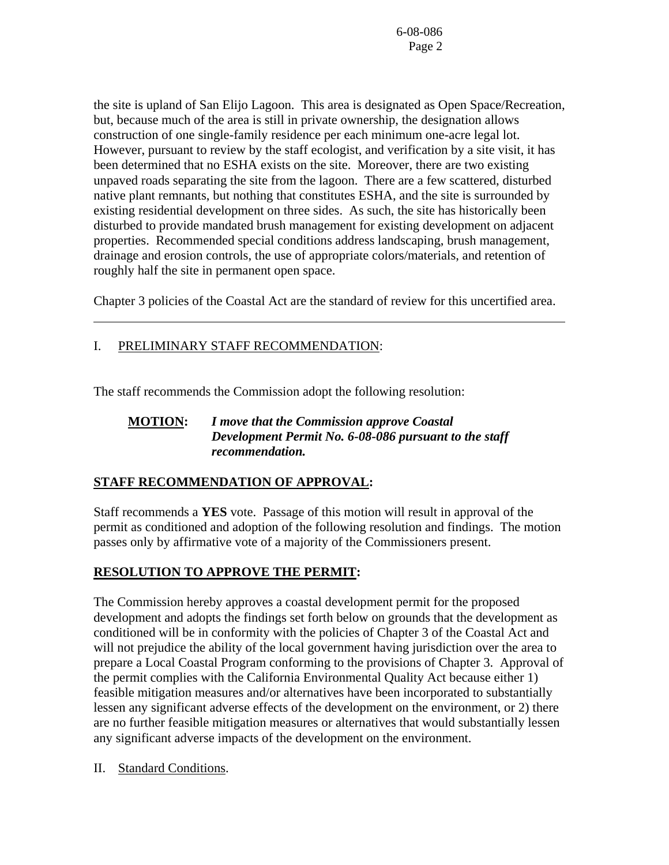the site is upland of San Elijo Lagoon. This area is designated as Open Space/Recreation, but, because much of the area is still in private ownership, the designation allows construction of one single-family residence per each minimum one-acre legal lot. However, pursuant to review by the staff ecologist, and verification by a site visit, it has been determined that no ESHA exists on the site. Moreover, there are two existing unpaved roads separating the site from the lagoon. There are a few scattered, disturbed native plant remnants, but nothing that constitutes ESHA, and the site is surrounded by existing residential development on three sides. As such, the site has historically been disturbed to provide mandated brush management for existing development on adjacent properties. Recommended special conditions address landscaping, brush management, drainage and erosion controls, the use of appropriate colors/materials, and retention of roughly half the site in permanent open space.

Chapter 3 policies of the Coastal Act are the standard of review for this uncertified area.

# I. PRELIMINARY STAFF RECOMMENDATION:

 $\overline{a}$ 

The staff recommends the Commission adopt the following resolution:

# **MOTION:** *I move that the Commission approve Coastal Development Permit No. 6-08-086 pursuant to the staff recommendation.*

# **STAFF RECOMMENDATION OF APPROVAL:**

Staff recommends a **YES** vote. Passage of this motion will result in approval of the permit as conditioned and adoption of the following resolution and findings. The motion passes only by affirmative vote of a majority of the Commissioners present.

# **RESOLUTION TO APPROVE THE PERMIT:**

The Commission hereby approves a coastal development permit for the proposed development and adopts the findings set forth below on grounds that the development as conditioned will be in conformity with the policies of Chapter 3 of the Coastal Act and will not prejudice the ability of the local government having jurisdiction over the area to prepare a Local Coastal Program conforming to the provisions of Chapter 3. Approval of the permit complies with the California Environmental Quality Act because either 1) feasible mitigation measures and/or alternatives have been incorporated to substantially lessen any significant adverse effects of the development on the environment, or 2) there are no further feasible mitigation measures or alternatives that would substantially lessen any significant adverse impacts of the development on the environment.

II. Standard Conditions.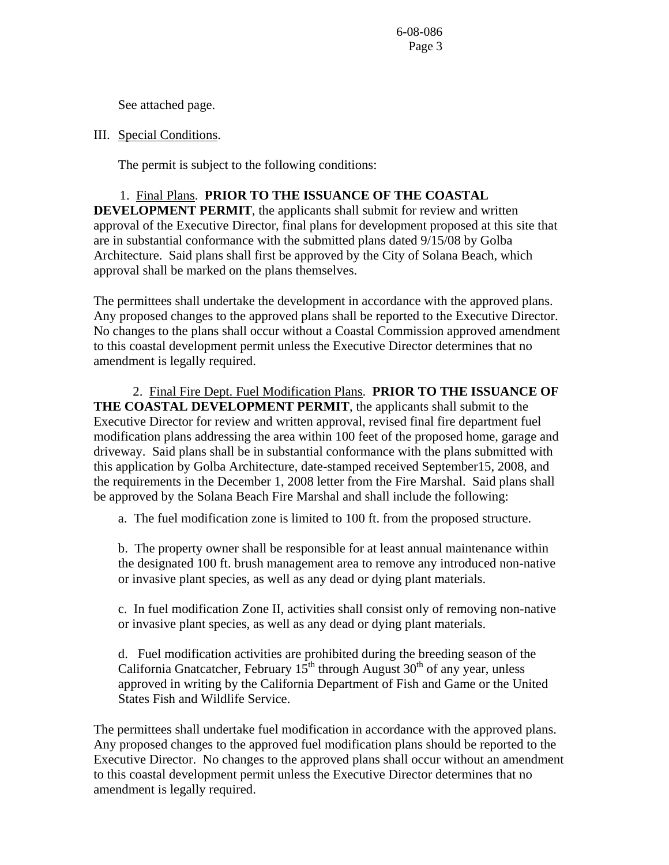See attached page.

III. Special Conditions.

The permit is subject to the following conditions:

1. Final Plans. **PRIOR TO THE ISSUANCE OF THE COASTAL DEVELOPMENT PERMIT**, the applicants shall submit for review and written approval of the Executive Director, final plans for development proposed at this site that are in substantial conformance with the submitted plans dated 9/15/08 by Golba Architecture. Said plans shall first be approved by the City of Solana Beach, which approval shall be marked on the plans themselves.

The permittees shall undertake the development in accordance with the approved plans. Any proposed changes to the approved plans shall be reported to the Executive Director. No changes to the plans shall occur without a Coastal Commission approved amendment to this coastal development permit unless the Executive Director determines that no amendment is legally required.

2. Final Fire Dept. Fuel Modification Plans. **PRIOR TO THE ISSUANCE OF THE COASTAL DEVELOPMENT PERMIT**, the applicants shall submit to the Executive Director for review and written approval, revised final fire department fuel modification plans addressing the area within 100 feet of the proposed home, garage and driveway. Said plans shall be in substantial conformance with the plans submitted with this application by Golba Architecture, date-stamped received September15, 2008, and the requirements in the December 1, 2008 letter from the Fire Marshal. Said plans shall be approved by the Solana Beach Fire Marshal and shall include the following:

a. The fuel modification zone is limited to 100 ft. from the proposed structure.

b. The property owner shall be responsible for at least annual maintenance within the designated 100 ft. brush management area to remove any introduced non-native or invasive plant species, as well as any dead or dying plant materials.

c. In fuel modification Zone II, activities shall consist only of removing non-native or invasive plant species, as well as any dead or dying plant materials.

d. Fuel modification activities are prohibited during the breeding season of the California Gnatcatcher, February  $15^{th}$  through August  $30^{th}$  of any year, unless approved in writing by the California Department of Fish and Game or the United States Fish and Wildlife Service.

The permittees shall undertake fuel modification in accordance with the approved plans. Any proposed changes to the approved fuel modification plans should be reported to the Executive Director. No changes to the approved plans shall occur without an amendment to this coastal development permit unless the Executive Director determines that no amendment is legally required.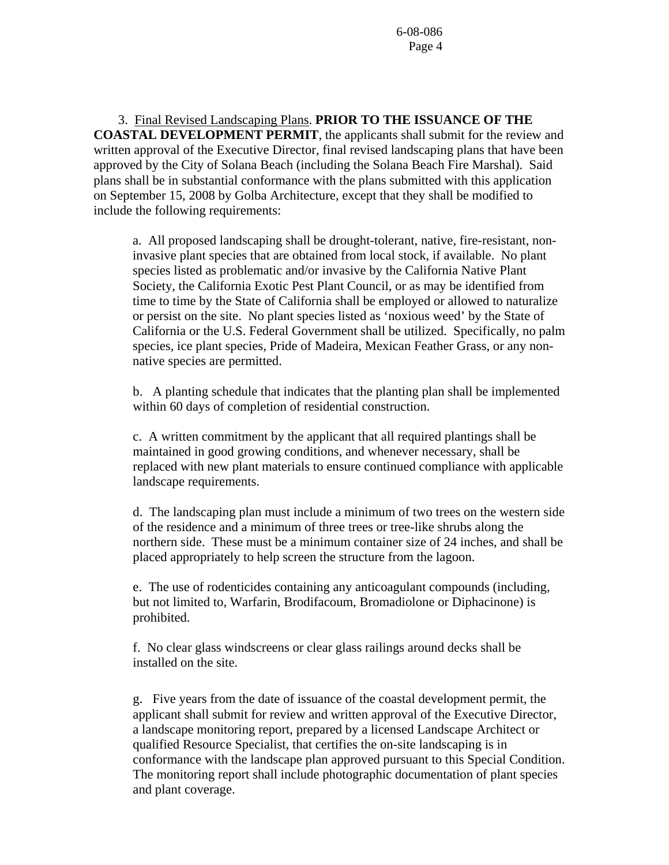3. Final Revised Landscaping Plans. **PRIOR TO THE ISSUANCE OF THE COASTAL DEVELOPMENT PERMIT**, the applicants shall submit for the review and written approval of the Executive Director, final revised landscaping plans that have been approved by the City of Solana Beach (including the Solana Beach Fire Marshal). Said plans shall be in substantial conformance with the plans submitted with this application on September 15, 2008 by Golba Architecture, except that they shall be modified to include the following requirements:

a. All proposed landscaping shall be drought-tolerant, native, fire-resistant, noninvasive plant species that are obtained from local stock, if available. No plant species listed as problematic and/or invasive by the California Native Plant Society, the California Exotic Pest Plant Council, or as may be identified from time to time by the State of California shall be employed or allowed to naturalize or persist on the site. No plant species listed as 'noxious weed' by the State of California or the U.S. Federal Government shall be utilized. Specifically, no palm species, ice plant species, Pride of Madeira, Mexican Feather Grass, or any nonnative species are permitted.

b. A planting schedule that indicates that the planting plan shall be implemented within 60 days of completion of residential construction.

c. A written commitment by the applicant that all required plantings shall be maintained in good growing conditions, and whenever necessary, shall be replaced with new plant materials to ensure continued compliance with applicable landscape requirements.

d. The landscaping plan must include a minimum of two trees on the western side of the residence and a minimum of three trees or tree-like shrubs along the northern side. These must be a minimum container size of 24 inches, and shall be placed appropriately to help screen the structure from the lagoon.

e. The use of rodenticides containing any anticoagulant compounds (including, but not limited to, Warfarin, Brodifacoum, Bromadiolone or Diphacinone) is prohibited.

f. No clear glass windscreens or clear glass railings around decks shall be installed on the site.

g. Five years from the date of issuance of the coastal development permit, the applicant shall submit for review and written approval of the Executive Director, a landscape monitoring report, prepared by a licensed Landscape Architect or qualified Resource Specialist, that certifies the on-site landscaping is in conformance with the landscape plan approved pursuant to this Special Condition. The monitoring report shall include photographic documentation of plant species and plant coverage.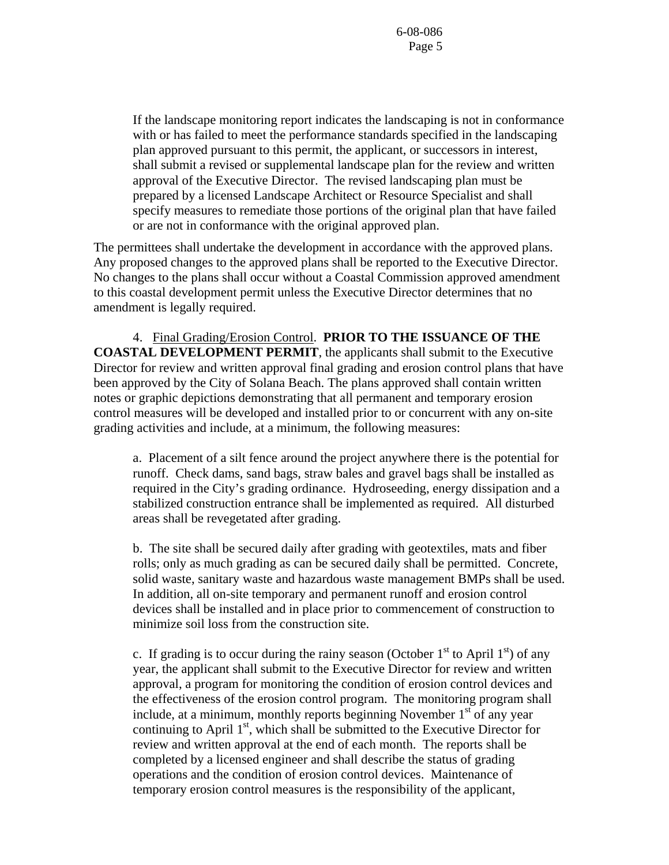If the landscape monitoring report indicates the landscaping is not in conformance with or has failed to meet the performance standards specified in the landscaping plan approved pursuant to this permit, the applicant, or successors in interest, shall submit a revised or supplemental landscape plan for the review and written approval of the Executive Director. The revised landscaping plan must be prepared by a licensed Landscape Architect or Resource Specialist and shall specify measures to remediate those portions of the original plan that have failed or are not in conformance with the original approved plan.

The permittees shall undertake the development in accordance with the approved plans. Any proposed changes to the approved plans shall be reported to the Executive Director. No changes to the plans shall occur without a Coastal Commission approved amendment to this coastal development permit unless the Executive Director determines that no amendment is legally required.

 4. Final Grading/Erosion Control. **PRIOR TO THE ISSUANCE OF THE COASTAL DEVELOPMENT PERMIT**, the applicants shall submit to the Executive Director for review and written approval final grading and erosion control plans that have been approved by the City of Solana Beach. The plans approved shall contain written notes or graphic depictions demonstrating that all permanent and temporary erosion control measures will be developed and installed prior to or concurrent with any on-site grading activities and include, at a minimum, the following measures:

a. Placement of a silt fence around the project anywhere there is the potential for runoff. Check dams, sand bags, straw bales and gravel bags shall be installed as required in the City's grading ordinance. Hydroseeding, energy dissipation and a stabilized construction entrance shall be implemented as required. All disturbed areas shall be revegetated after grading.

b. The site shall be secured daily after grading with geotextiles, mats and fiber rolls; only as much grading as can be secured daily shall be permitted. Concrete, solid waste, sanitary waste and hazardous waste management BMPs shall be used. In addition, all on-site temporary and permanent runoff and erosion control devices shall be installed and in place prior to commencement of construction to minimize soil loss from the construction site.

c. If grading is to occur during the rainy season (October  $1<sup>st</sup>$  to April  $1<sup>st</sup>$ ) of any year, the applicant shall submit to the Executive Director for review and written approval, a program for monitoring the condition of erosion control devices and the effectiveness of the erosion control program. The monitoring program shall include, at a minimum, monthly reports beginning November  $1<sup>st</sup>$  of any year continuing to April  $1<sup>st</sup>$ , which shall be submitted to the Executive Director for review and written approval at the end of each month. The reports shall be completed by a licensed engineer and shall describe the status of grading operations and the condition of erosion control devices. Maintenance of temporary erosion control measures is the responsibility of the applicant,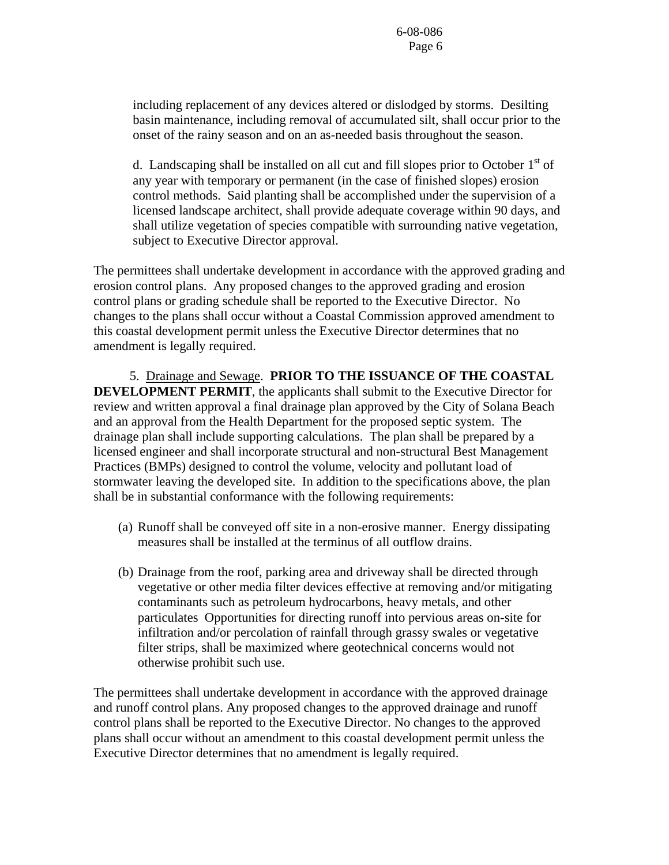including replacement of any devices altered or dislodged by storms. Desilting basin maintenance, including removal of accumulated silt, shall occur prior to the onset of the rainy season and on an as-needed basis throughout the season.

d. Landscaping shall be installed on all cut and fill slopes prior to October  $1<sup>st</sup>$  of any year with temporary or permanent (in the case of finished slopes) erosion control methods. Said planting shall be accomplished under the supervision of a licensed landscape architect, shall provide adequate coverage within 90 days, and shall utilize vegetation of species compatible with surrounding native vegetation, subject to Executive Director approval.

The permittees shall undertake development in accordance with the approved grading and erosion control plans. Any proposed changes to the approved grading and erosion control plans or grading schedule shall be reported to the Executive Director. No changes to the plans shall occur without a Coastal Commission approved amendment to this coastal development permit unless the Executive Director determines that no amendment is legally required.

 5. Drainage and Sewage. **PRIOR TO THE ISSUANCE OF THE COASTAL DEVELOPMENT PERMIT**, the applicants shall submit to the Executive Director for review and written approval a final drainage plan approved by the City of Solana Beach and an approval from the Health Department for the proposed septic system. The drainage plan shall include supporting calculations. The plan shall be prepared by a licensed engineer and shall incorporate structural and non-structural Best Management Practices (BMPs) designed to control the volume, velocity and pollutant load of stormwater leaving the developed site. In addition to the specifications above, the plan shall be in substantial conformance with the following requirements:

- (a) Runoff shall be conveyed off site in a non-erosive manner. Energy dissipating measures shall be installed at the terminus of all outflow drains.
- (b) Drainage from the roof, parking area and driveway shall be directed through vegetative or other media filter devices effective at removing and/or mitigating contaminants such as petroleum hydrocarbons, heavy metals, and other particulates Opportunities for directing runoff into pervious areas on-site for infiltration and/or percolation of rainfall through grassy swales or vegetative filter strips, shall be maximized where geotechnical concerns would not otherwise prohibit such use.

The permittees shall undertake development in accordance with the approved drainage and runoff control plans. Any proposed changes to the approved drainage and runoff control plans shall be reported to the Executive Director. No changes to the approved plans shall occur without an amendment to this coastal development permit unless the Executive Director determines that no amendment is legally required.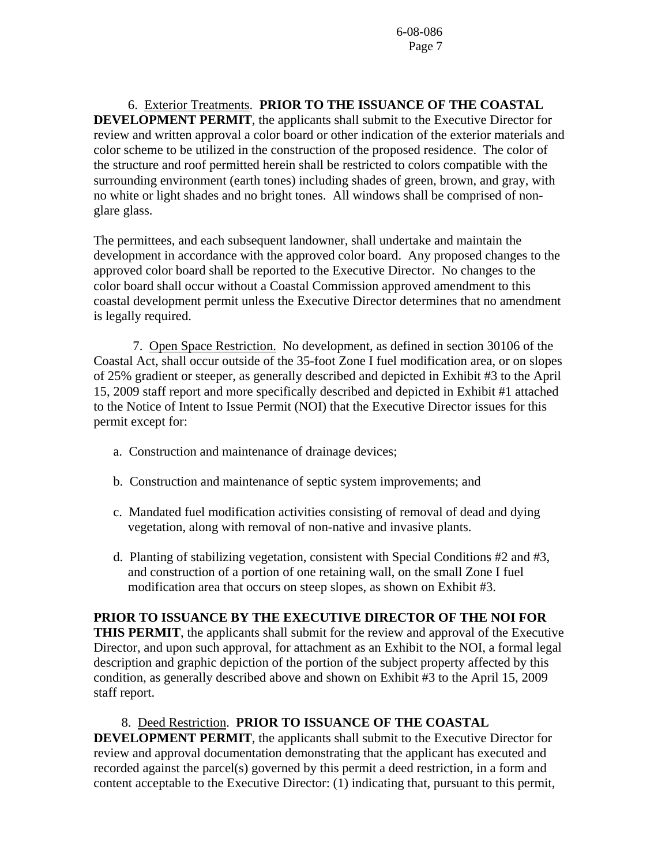6. Exterior Treatments. **PRIOR TO THE ISSUANCE OF THE COASTAL DEVELOPMENT PERMIT**, the applicants shall submit to the Executive Director for review and written approval a color board or other indication of the exterior materials and color scheme to be utilized in the construction of the proposed residence. The color of the structure and roof permitted herein shall be restricted to colors compatible with the surrounding environment (earth tones) including shades of green, brown, and gray, with no white or light shades and no bright tones. All windows shall be comprised of nonglare glass.

The permittees, and each subsequent landowner, shall undertake and maintain the development in accordance with the approved color board. Any proposed changes to the approved color board shall be reported to the Executive Director. No changes to the color board shall occur without a Coastal Commission approved amendment to this coastal development permit unless the Executive Director determines that no amendment is legally required.

 7. Open Space Restriction. No development, as defined in section 30106 of the Coastal Act, shall occur outside of the 35-foot Zone I fuel modification area, or on slopes of 25% gradient or steeper, as generally described and depicted in Exhibit #3 to the April 15, 2009 staff report and more specifically described and depicted in Exhibit #1 attached to the Notice of Intent to Issue Permit (NOI) that the Executive Director issues for this permit except for:

- a. Construction and maintenance of drainage devices;
- b. Construction and maintenance of septic system improvements; and
- c. Mandated fuel modification activities consisting of removal of dead and dying vegetation, along with removal of non-native and invasive plants.
- d. Planting of stabilizing vegetation, consistent with Special Conditions #2 and #3, and construction of a portion of one retaining wall, on the small Zone I fuel modification area that occurs on steep slopes, as shown on Exhibit #3.

#### **PRIOR TO ISSUANCE BY THE EXECUTIVE DIRECTOR OF THE NOI FOR**

**THIS PERMIT**, the applicants shall submit for the review and approval of the Executive Director, and upon such approval, for attachment as an Exhibit to the NOI, a formal legal description and graphic depiction of the portion of the subject property affected by this condition, as generally described above and shown on Exhibit #3 to the April 15, 2009 staff report.

#### 8. Deed Restriction. **PRIOR TO ISSUANCE OF THE COASTAL**

**DEVELOPMENT PERMIT**, the applicants shall submit to the Executive Director for review and approval documentation demonstrating that the applicant has executed and recorded against the parcel(s) governed by this permit a deed restriction, in a form and content acceptable to the Executive Director: (1) indicating that, pursuant to this permit,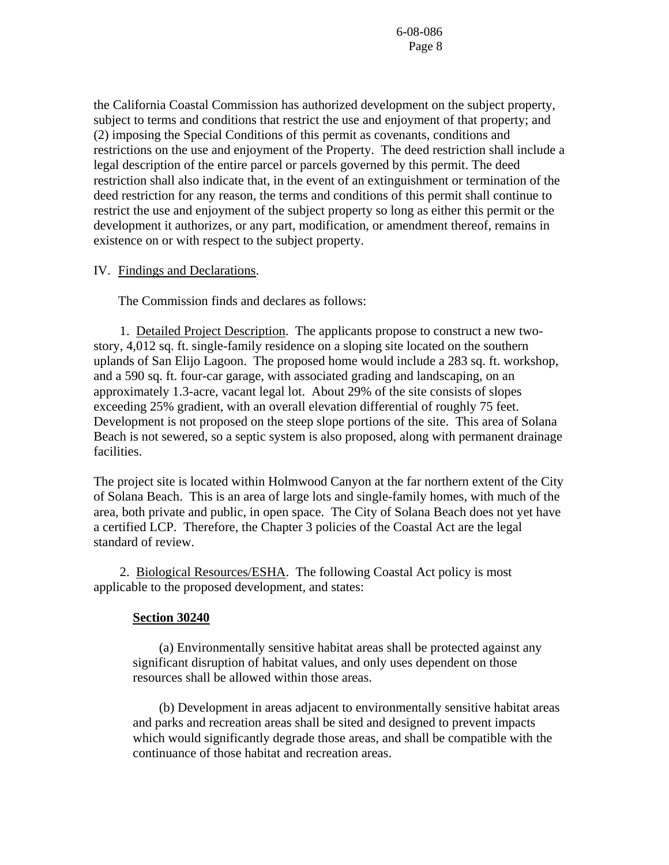the California Coastal Commission has authorized development on the subject property, subject to terms and conditions that restrict the use and enjoyment of that property; and (2) imposing the Special Conditions of this permit as covenants, conditions and restrictions on the use and enjoyment of the Property. The deed restriction shall include a legal description of the entire parcel or parcels governed by this permit. The deed restriction shall also indicate that, in the event of an extinguishment or termination of the deed restriction for any reason, the terms and conditions of this permit shall continue to restrict the use and enjoyment of the subject property so long as either this permit or the development it authorizes, or any part, modification, or amendment thereof, remains in existence on or with respect to the subject property.

#### IV. Findings and Declarations.

The Commission finds and declares as follows:

 1. Detailed Project Description. The applicants propose to construct a new twostory, 4,012 sq. ft. single-family residence on a sloping site located on the southern uplands of San Elijo Lagoon. The proposed home would include a 283 sq. ft. workshop, and a 590 sq. ft. four-car garage, with associated grading and landscaping, on an approximately 1.3-acre, vacant legal lot. About 29% of the site consists of slopes exceeding 25% gradient, with an overall elevation differential of roughly 75 feet. Development is not proposed on the steep slope portions of the site. This area of Solana Beach is not sewered, so a septic system is also proposed, along with permanent drainage facilities.

The project site is located within Holmwood Canyon at the far northern extent of the City of Solana Beach. This is an area of large lots and single-family homes, with much of the area, both private and public, in open space. The City of Solana Beach does not yet have a certified LCP. Therefore, the Chapter 3 policies of the Coastal Act are the legal standard of review.

 2. Biological Resources/ESHA. The following Coastal Act policy is most applicable to the proposed development, and states:

#### **Section 30240**

 (a) Environmentally sensitive habitat areas shall be protected against any significant disruption of habitat values, and only uses dependent on those resources shall be allowed within those areas.

 (b) Development in areas adjacent to environmentally sensitive habitat areas and parks and recreation areas shall be sited and designed to prevent impacts which would significantly degrade those areas, and shall be compatible with the continuance of those habitat and recreation areas.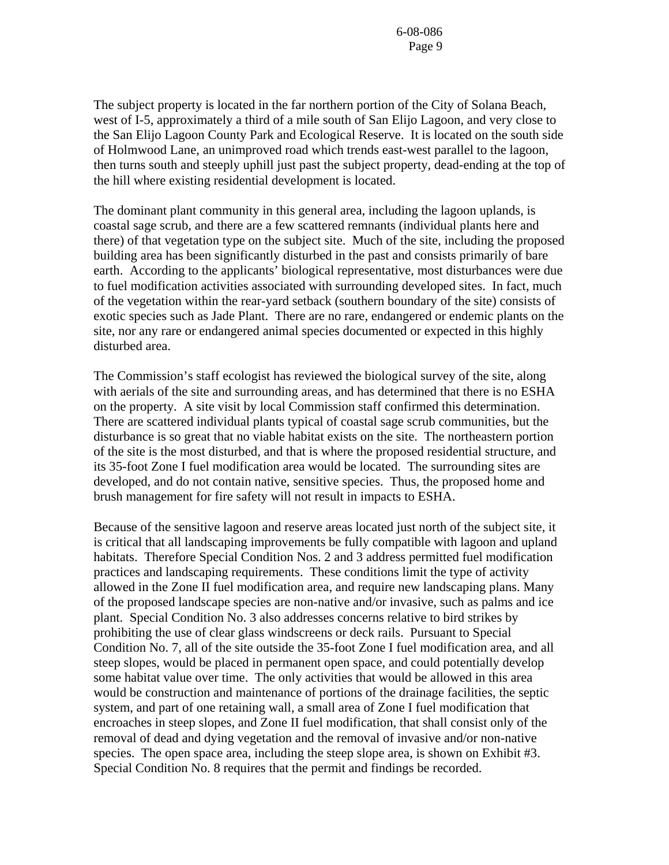The subject property is located in the far northern portion of the City of Solana Beach, west of I-5, approximately a third of a mile south of San Elijo Lagoon, and very close to the San Elijo Lagoon County Park and Ecological Reserve. It is located on the south side of Holmwood Lane, an unimproved road which trends east-west parallel to the lagoon, then turns south and steeply uphill just past the subject property, dead-ending at the top of the hill where existing residential development is located.

The dominant plant community in this general area, including the lagoon uplands, is coastal sage scrub, and there are a few scattered remnants (individual plants here and there) of that vegetation type on the subject site. Much of the site, including the proposed building area has been significantly disturbed in the past and consists primarily of bare earth. According to the applicants' biological representative, most disturbances were due to fuel modification activities associated with surrounding developed sites. In fact, much of the vegetation within the rear-yard setback (southern boundary of the site) consists of exotic species such as Jade Plant. There are no rare, endangered or endemic plants on the site, nor any rare or endangered animal species documented or expected in this highly disturbed area.

The Commission's staff ecologist has reviewed the biological survey of the site, along with aerials of the site and surrounding areas, and has determined that there is no ESHA on the property. A site visit by local Commission staff confirmed this determination. There are scattered individual plants typical of coastal sage scrub communities, but the disturbance is so great that no viable habitat exists on the site. The northeastern portion of the site is the most disturbed, and that is where the proposed residential structure, and its 35-foot Zone I fuel modification area would be located. The surrounding sites are developed, and do not contain native, sensitive species. Thus, the proposed home and brush management for fire safety will not result in impacts to ESHA.

Because of the sensitive lagoon and reserve areas located just north of the subject site, it is critical that all landscaping improvements be fully compatible with lagoon and upland habitats. Therefore Special Condition Nos. 2 and 3 address permitted fuel modification practices and landscaping requirements. These conditions limit the type of activity allowed in the Zone II fuel modification area, and require new landscaping plans. Many of the proposed landscape species are non-native and/or invasive, such as palms and ice plant. Special Condition No. 3 also addresses concerns relative to bird strikes by prohibiting the use of clear glass windscreens or deck rails. Pursuant to Special Condition No. 7, all of the site outside the 35-foot Zone I fuel modification area, and all steep slopes, would be placed in permanent open space, and could potentially develop some habitat value over time. The only activities that would be allowed in this area would be construction and maintenance of portions of the drainage facilities, the septic system, and part of one retaining wall, a small area of Zone I fuel modification that encroaches in steep slopes, and Zone II fuel modification, that shall consist only of the removal of dead and dying vegetation and the removal of invasive and/or non-native species. The open space area, including the steep slope area, is shown on Exhibit #3. Special Condition No. 8 requires that the permit and findings be recorded.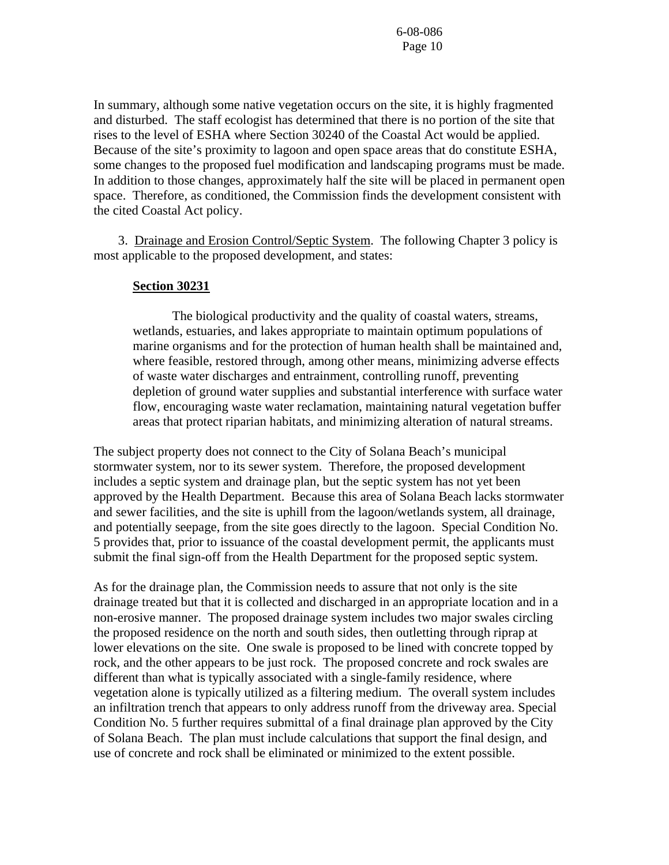In summary, although some native vegetation occurs on the site, it is highly fragmented and disturbed. The staff ecologist has determined that there is no portion of the site that rises to the level of ESHA where Section 30240 of the Coastal Act would be applied. Because of the site's proximity to lagoon and open space areas that do constitute ESHA, some changes to the proposed fuel modification and landscaping programs must be made. In addition to those changes, approximately half the site will be placed in permanent open space. Therefore, as conditioned, the Commission finds the development consistent with the cited Coastal Act policy.

 3. Drainage and Erosion Control/Septic System. The following Chapter 3 policy is most applicable to the proposed development, and states:

#### **Section 30231**

 The biological productivity and the quality of coastal waters, streams, wetlands, estuaries, and lakes appropriate to maintain optimum populations of marine organisms and for the protection of human health shall be maintained and, where feasible, restored through, among other means, minimizing adverse effects of waste water discharges and entrainment, controlling runoff, preventing depletion of ground water supplies and substantial interference with surface water flow, encouraging waste water reclamation, maintaining natural vegetation buffer areas that protect riparian habitats, and minimizing alteration of natural streams.

The subject property does not connect to the City of Solana Beach's municipal stormwater system, nor to its sewer system. Therefore, the proposed development includes a septic system and drainage plan, but the septic system has not yet been approved by the Health Department. Because this area of Solana Beach lacks stormwater and sewer facilities, and the site is uphill from the lagoon/wetlands system, all drainage, and potentially seepage, from the site goes directly to the lagoon. Special Condition No. 5 provides that, prior to issuance of the coastal development permit, the applicants must submit the final sign-off from the Health Department for the proposed septic system.

As for the drainage plan, the Commission needs to assure that not only is the site drainage treated but that it is collected and discharged in an appropriate location and in a non-erosive manner. The proposed drainage system includes two major swales circling the proposed residence on the north and south sides, then outletting through riprap at lower elevations on the site. One swale is proposed to be lined with concrete topped by rock, and the other appears to be just rock. The proposed concrete and rock swales are different than what is typically associated with a single-family residence, where vegetation alone is typically utilized as a filtering medium. The overall system includes an infiltration trench that appears to only address runoff from the driveway area. Special Condition No. 5 further requires submittal of a final drainage plan approved by the City of Solana Beach. The plan must include calculations that support the final design, and use of concrete and rock shall be eliminated or minimized to the extent possible.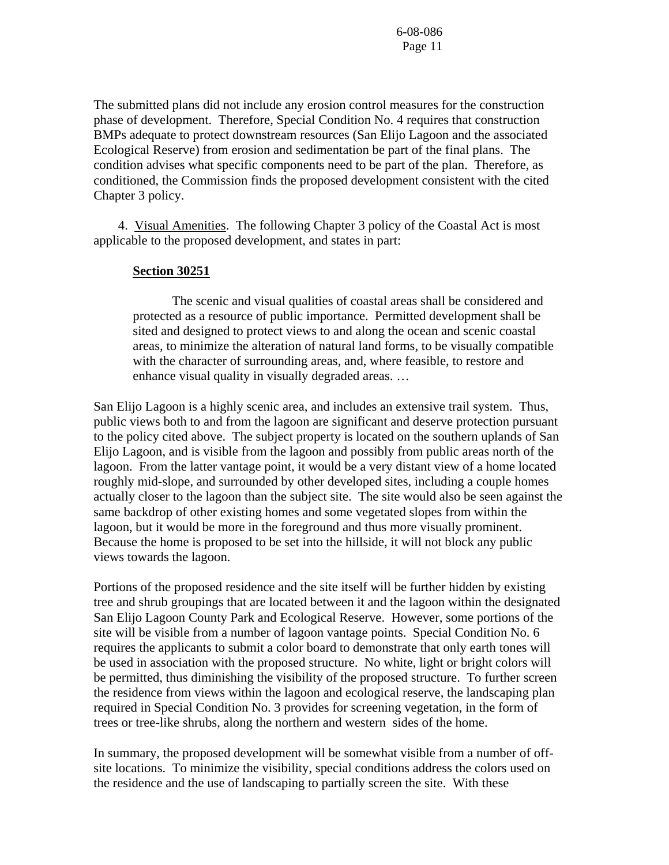The submitted plans did not include any erosion control measures for the construction phase of development. Therefore, Special Condition No. 4 requires that construction BMPs adequate to protect downstream resources (San Elijo Lagoon and the associated Ecological Reserve) from erosion and sedimentation be part of the final plans. The condition advises what specific components need to be part of the plan. Therefore, as conditioned, the Commission finds the proposed development consistent with the cited Chapter 3 policy.

 4. Visual Amenities. The following Chapter 3 policy of the Coastal Act is most applicable to the proposed development, and states in part:

#### **Section 30251**

 The scenic and visual qualities of coastal areas shall be considered and protected as a resource of public importance. Permitted development shall be sited and designed to protect views to and along the ocean and scenic coastal areas, to minimize the alteration of natural land forms, to be visually compatible with the character of surrounding areas, and, where feasible, to restore and enhance visual quality in visually degraded areas. …

San Elijo Lagoon is a highly scenic area, and includes an extensive trail system. Thus, public views both to and from the lagoon are significant and deserve protection pursuant to the policy cited above. The subject property is located on the southern uplands of San Elijo Lagoon, and is visible from the lagoon and possibly from public areas north of the lagoon. From the latter vantage point, it would be a very distant view of a home located roughly mid-slope, and surrounded by other developed sites, including a couple homes actually closer to the lagoon than the subject site. The site would also be seen against the same backdrop of other existing homes and some vegetated slopes from within the lagoon, but it would be more in the foreground and thus more visually prominent. Because the home is proposed to be set into the hillside, it will not block any public views towards the lagoon.

Portions of the proposed residence and the site itself will be further hidden by existing tree and shrub groupings that are located between it and the lagoon within the designated San Elijo Lagoon County Park and Ecological Reserve. However, some portions of the site will be visible from a number of lagoon vantage points. Special Condition No. 6 requires the applicants to submit a color board to demonstrate that only earth tones will be used in association with the proposed structure. No white, light or bright colors will be permitted, thus diminishing the visibility of the proposed structure. To further screen the residence from views within the lagoon and ecological reserve, the landscaping plan required in Special Condition No. 3 provides for screening vegetation, in the form of trees or tree-like shrubs, along the northern and western sides of the home.

In summary, the proposed development will be somewhat visible from a number of offsite locations. To minimize the visibility, special conditions address the colors used on the residence and the use of landscaping to partially screen the site. With these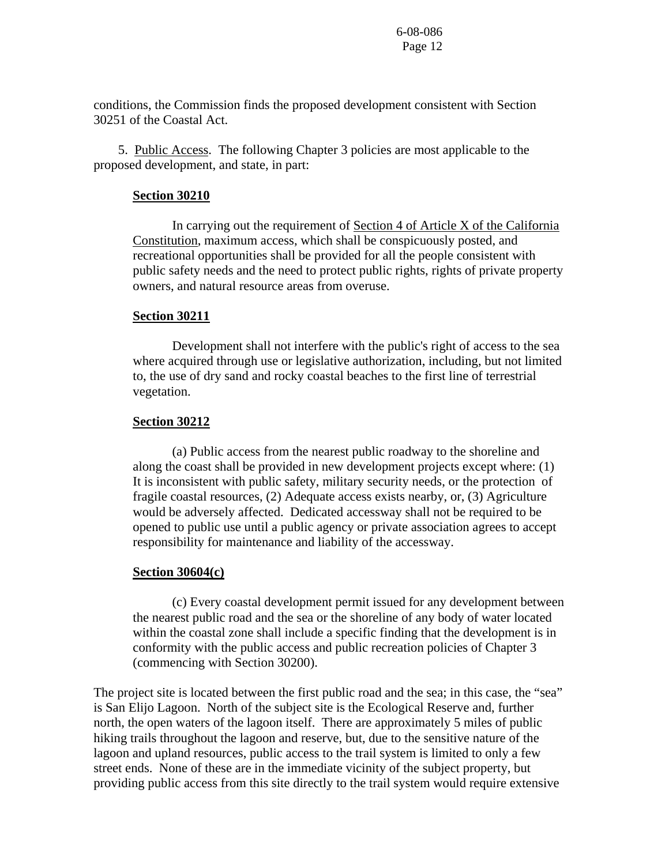conditions, the Commission finds the proposed development consistent with Section 30251 of the Coastal Act.

 5. Public Access. The following Chapter 3 policies are most applicable to the proposed development, and state, in part:

#### **Section 30210**

In carrying out the requirement of Section 4 of Article X of the California Constitution, maximum access, which shall be conspicuously posted, and recreational opportunities shall be provided for all the people consistent with public safety needs and the need to protect public rights, rights of private property owners, and natural resource areas from overuse.

#### **Section 30211**

 Development shall not interfere with the public's right of access to the sea where acquired through use or legislative authorization, including, but not limited to, the use of dry sand and rocky coastal beaches to the first line of terrestrial vegetation.

#### **Section 30212**

 (a) Public access from the nearest public roadway to the shoreline and along the coast shall be provided in new development projects except where: (1) It is inconsistent with public safety, military security needs, or the protection of fragile coastal resources, (2) Adequate access exists nearby, or, (3) Agriculture would be adversely affected. Dedicated accessway shall not be required to be opened to public use until a public agency or private association agrees to accept responsibility for maintenance and liability of the accessway.

#### **Section 30604(c)**

 (c) Every coastal development permit issued for any development between the nearest public road and the sea or the shoreline of any body of water located within the coastal zone shall include a specific finding that the development is in conformity with the public access and public recreation policies of Chapter 3 (commencing with Section 30200).

The project site is located between the first public road and the sea; in this case, the "sea" is San Elijo Lagoon. North of the subject site is the Ecological Reserve and, further north, the open waters of the lagoon itself. There are approximately 5 miles of public hiking trails throughout the lagoon and reserve, but, due to the sensitive nature of the lagoon and upland resources, public access to the trail system is limited to only a few street ends. None of these are in the immediate vicinity of the subject property, but providing public access from this site directly to the trail system would require extensive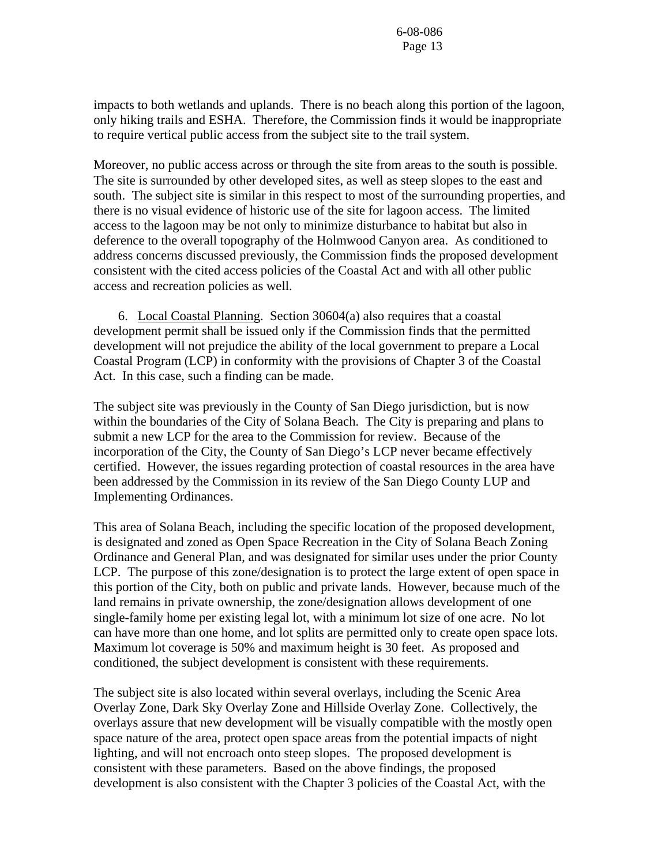impacts to both wetlands and uplands. There is no beach along this portion of the lagoon, only hiking trails and ESHA. Therefore, the Commission finds it would be inappropriate to require vertical public access from the subject site to the trail system.

Moreover, no public access across or through the site from areas to the south is possible. The site is surrounded by other developed sites, as well as steep slopes to the east and south. The subject site is similar in this respect to most of the surrounding properties, and there is no visual evidence of historic use of the site for lagoon access. The limited access to the lagoon may be not only to minimize disturbance to habitat but also in deference to the overall topography of the Holmwood Canyon area. As conditioned to address concerns discussed previously, the Commission finds the proposed development consistent with the cited access policies of the Coastal Act and with all other public access and recreation policies as well.

 6. Local Coastal Planning. Section 30604(a) also requires that a coastal development permit shall be issued only if the Commission finds that the permitted development will not prejudice the ability of the local government to prepare a Local Coastal Program (LCP) in conformity with the provisions of Chapter 3 of the Coastal Act. In this case, such a finding can be made.

The subject site was previously in the County of San Diego jurisdiction, but is now within the boundaries of the City of Solana Beach. The City is preparing and plans to submit a new LCP for the area to the Commission for review. Because of the incorporation of the City, the County of San Diego's LCP never became effectively certified. However, the issues regarding protection of coastal resources in the area have been addressed by the Commission in its review of the San Diego County LUP and Implementing Ordinances.

This area of Solana Beach, including the specific location of the proposed development, is designated and zoned as Open Space Recreation in the City of Solana Beach Zoning Ordinance and General Plan, and was designated for similar uses under the prior County LCP. The purpose of this zone/designation is to protect the large extent of open space in this portion of the City, both on public and private lands. However, because much of the land remains in private ownership, the zone/designation allows development of one single-family home per existing legal lot, with a minimum lot size of one acre. No lot can have more than one home, and lot splits are permitted only to create open space lots. Maximum lot coverage is 50% and maximum height is 30 feet. As proposed and conditioned, the subject development is consistent with these requirements.

The subject site is also located within several overlays, including the Scenic Area Overlay Zone, Dark Sky Overlay Zone and Hillside Overlay Zone. Collectively, the overlays assure that new development will be visually compatible with the mostly open space nature of the area, protect open space areas from the potential impacts of night lighting, and will not encroach onto steep slopes. The proposed development is consistent with these parameters. Based on the above findings, the proposed development is also consistent with the Chapter 3 policies of the Coastal Act, with the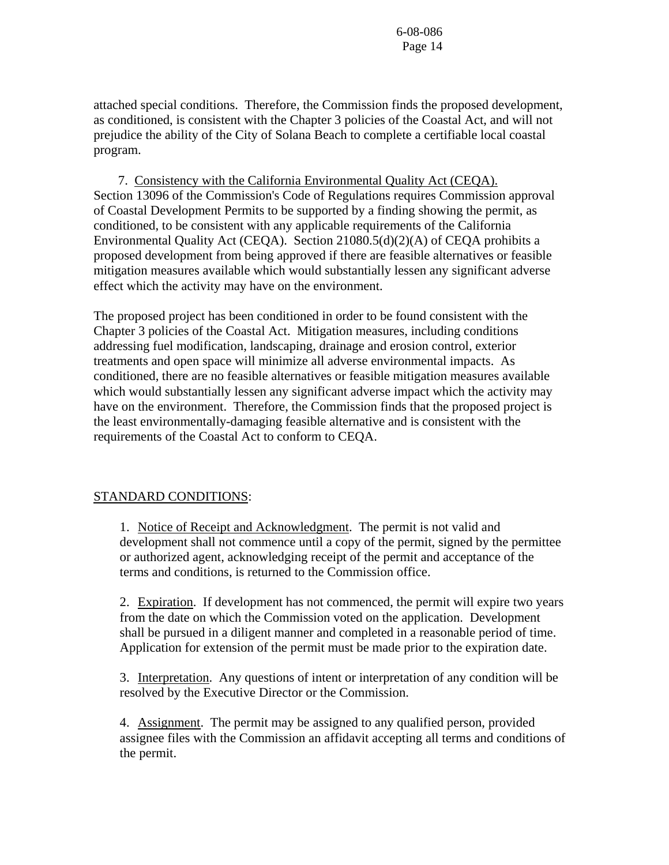attached special conditions. Therefore, the Commission finds the proposed development, as conditioned, is consistent with the Chapter 3 policies of the Coastal Act, and will not prejudice the ability of the City of Solana Beach to complete a certifiable local coastal program.

 7. Consistency with the California Environmental Quality Act (CEQA). Section 13096 of the Commission's Code of Regulations requires Commission approval of Coastal Development Permits to be supported by a finding showing the permit, as conditioned, to be consistent with any applicable requirements of the California Environmental Quality Act (CEQA). Section 21080.5(d)(2)(A) of CEQA prohibits a proposed development from being approved if there are feasible alternatives or feasible mitigation measures available which would substantially lessen any significant adverse effect which the activity may have on the environment.

The proposed project has been conditioned in order to be found consistent with the Chapter 3 policies of the Coastal Act. Mitigation measures, including conditions addressing fuel modification, landscaping, drainage and erosion control, exterior treatments and open space will minimize all adverse environmental impacts. As conditioned, there are no feasible alternatives or feasible mitigation measures available which would substantially lessen any significant adverse impact which the activity may have on the environment. Therefore, the Commission finds that the proposed project is the least environmentally-damaging feasible alternative and is consistent with the requirements of the Coastal Act to conform to CEQA.

#### STANDARD CONDITIONS:

1. Notice of Receipt and Acknowledgment. The permit is not valid and development shall not commence until a copy of the permit, signed by the permittee or authorized agent, acknowledging receipt of the permit and acceptance of the terms and conditions, is returned to the Commission office.

2. Expiration. If development has not commenced, the permit will expire two years from the date on which the Commission voted on the application. Development shall be pursued in a diligent manner and completed in a reasonable period of time. Application for extension of the permit must be made prior to the expiration date.

3. Interpretation. Any questions of intent or interpretation of any condition will be resolved by the Executive Director or the Commission.

4. Assignment. The permit may be assigned to any qualified person, provided assignee files with the Commission an affidavit accepting all terms and conditions of the permit.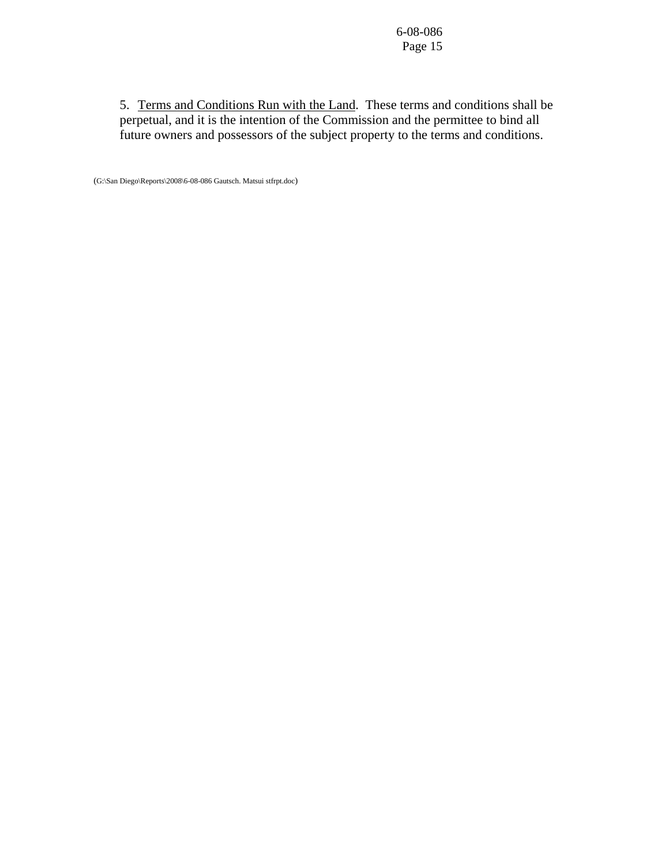5. Terms and Conditions Run with the Land. These terms and conditions shall be perpetual, and it is the intention of the Commission and the permittee to bind all future owners and possessors of the subject property to the terms and conditions.

(G:\San Diego\Reports\2008\6-08-086 Gautsch. Matsui stfrpt.doc)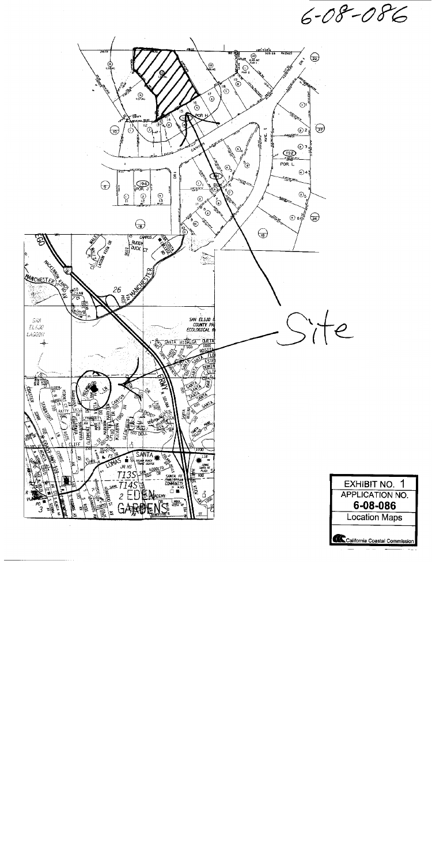$6 - 08 - 086$ 



California Coastal Commission